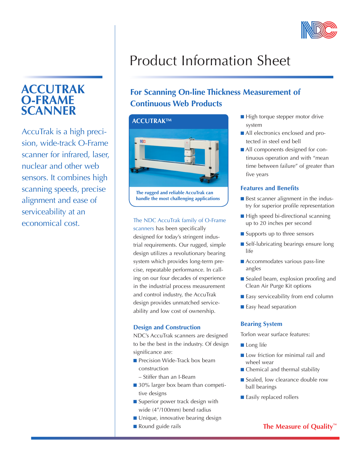

# **ACCUTRAK O-FRAME SCANNER**

AccuTrak is a high precision, wide-track O-Frame scanner for infrared, laser, nuclear and other web sensors. It combines high scanning speeds, precise alignment and ease of serviceability at an economical cost. The NDC AccuTrak family of O-Frame

# Product Information Sheet

## **For Scanning On-line Thickness Measurement of Continuous Web Products**



**The rugged and reliable AccuTrak can handle the most challenging applications**

scanners has been specifically designed for today's stringent industrial requirements. Our rugged, simple design utilizes a revolutionary bearing system which provides long-term precise, repeatable performance. In calling on our four decades of experience in the industrial process measurement and control industry, the AccuTrak design provides unmatched serviceability and low cost of ownership.

### **Design and Construction**

NDC's AccuTrak scanners are designed to be the best in the industry. Of design significance are:

- **n** Precision Wide-Track box beam construction
	- Stiffer than an I-Beam
- 30% larger box beam than competitive designs
- $\blacksquare$  Superior power track design with wide (4"/100mm) bend radius
- Unique, innovative bearing design
- 
- High torque stepper motor drive system
- All electronics enclosed and protected in steel end bell
- All components designed for continuous operation and with "mean time between failure" of greater than five years

### **Features and Benefits**

- $\blacksquare$  Best scanner alignment in the industry for superior profile representation
- $\blacksquare$  High speed bi-directional scanning up to 20 inches per second
- Supports up to three sensors
- $\blacksquare$  Self-lubricating bearings ensure long life
- $\blacksquare$  Accommodates various pass-line angles
- $\blacksquare$  Sealed beam, explosion proofing and Clean Air Purge Kit options
- Easy serviceability from end column
- Easy head separation

### **Bearing System**

Torlon wear surface features:

- $\blacksquare$  Long life
- $\blacksquare$  Low friction for minimal rail and wheel wear
- $\blacksquare$  Chemical and thermal stability
- Sealed, low clearance double row ball bearings
- Easily replaced rollers

### ■ Round guide rails **The Measure of Quality**